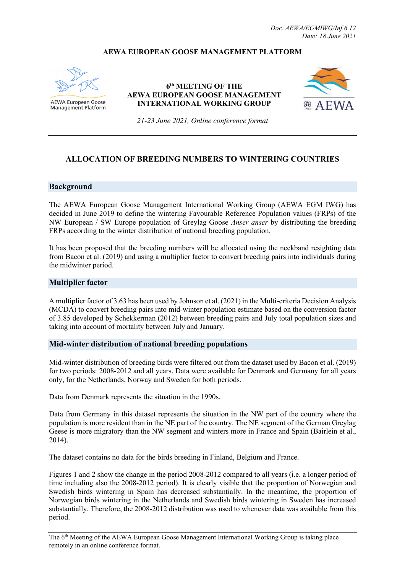### **AEWA EUROPEAN GOOSE MANAGEMENT PLATFORM**



**AEWA European Goose Management Platform** 

**6th MEETING OF THE AEWA EUROPEAN GOOSE MANAGEMENT INTERNATIONAL WORKING GROUP**



*21-23 June 2021, Online conference format*

## **ALLOCATION OF BREEDING NUMBERS TO WINTERING COUNTRIES**

#### **Background**

The AEWA European Goose Management International Working Group (AEWA EGM IWG) has decided in June 2019 to define the wintering Favourable Reference Population values (FRPs) of the NW European / SW Europe population of Greylag Goose *Anser anser* by distributing the breeding FRPs according to the winter distribution of national breeding population.

It has been proposed that the breeding numbers will be allocated using the neckband resighting data from Bacon et al. (2019) and using a multiplier factor to convert breeding pairs into individuals during the midwinter period.

#### **Multiplier factor**

A multiplier factor of 3.63 has been used b[y Johnson et al. \(2021\)](https://link.springer.com/article/10.1007/s13280-021-01539-5) in the Multi-criteria Decision Analysis (MCDA) to convert breeding pairs into mid-winter population estimate based on the conversion factor of 3.85 developed by Schekkerman (2012) between breeding pairs and July total population sizes and taking into account of mortality between July and January.

#### **Mid-winter distribution of national breeding populations**

Mid-winter distribution of breeding birds were filtered out from the dataset used by Bacon et al. (2019) for two periods: 2008-2012 and all years. Data were available for Denmark and Germany for all years only, for the Netherlands, Norway and Sweden for both periods.

Data from Denmark represents the situation in the 1990s.

Data from Germany in this dataset represents the situation in the NW part of the country where the population is more resident than in the NE part of the country. The NE segment of the German Greylag Geese is more migratory than the NW segment and winters more in France and Spain (Bairlein et al., 2014).

The dataset contains no data for the birds breeding in Finland, Belgium and France.

[Figures 1](#page-1-0) [and 2](#page-1-1) show the change in the period 2008-2012 compared to all years (i.e. a longer period of time including also the 2008-2012 period). It is clearly visible that the proportion of Norwegian and Swedish birds wintering in Spain has decreased substantially. In the meantime, the proportion of Norwegian birds wintering in the Netherlands and Swedish birds wintering in Sweden has increased substantially. Therefore, the 2008-2012 distribution was used to whenever data was available from this period.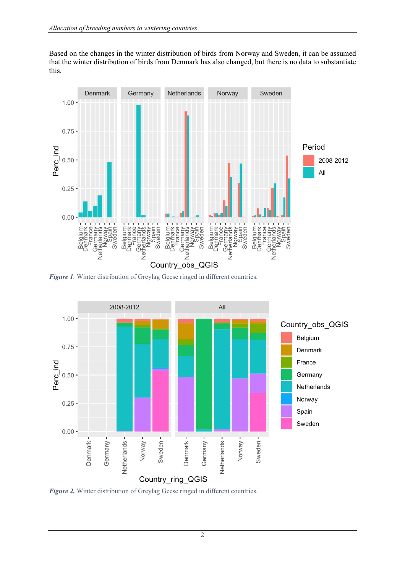Based on the changes in the winter distribution of birds from Norway and Sweden, it can be assumed that the winter distribution of birds from Denmark has also changed, but there is no data to substantiate this.



<span id="page-1-0"></span>**Figure 1**. Winter distribution of Greylag Geese ringed in different countries.



<span id="page-1-1"></span>*Figure 2.* Winter distribution of Greylag Geese ringed in different countries.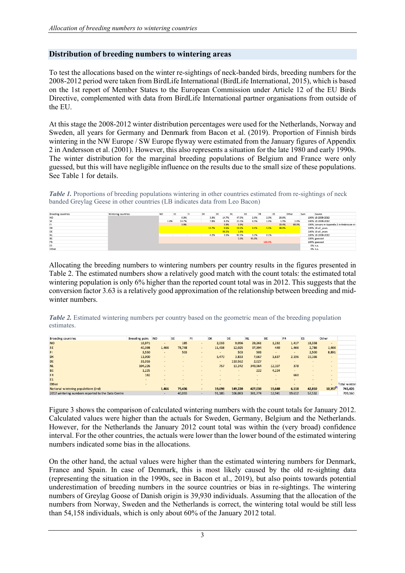## **Distribution of breeding numbers to wintering areas**

To test the allocations based on the winter re-sightings of neck-banded birds, breeding numbers for the 2008-2012 period were taken from BirdLife International (BirdLife International, 2015), which is based on the 1st report of Member States to the European Commission under Article 12 of the EU Birds Directive, complemented with data from BirdLife International partner organisations from outside of the EU.

At this stage the 2008-2012 winter distribution percentages were used for the Netherlands, Norway and Sweden, all years for Germany and Denmark from Bacon et al. (2019). Proportion of Finnish birds wintering in the NW Europe / SW Europe flyway were estimated from the January figures of Appendix 2 in Andersson et al. (2001). However, this also represents a situation for the late 1980 and early 1990s. The winter distribution for the marginal breeding populations of Belgium and France were only guessed, but this will have negligible influence on the results due to the small size of these populations. See Table 1 for details.

*Table 1*. Proportions of breeding populations wintering in other countries estimated from re-sightings of neck banded Greylag Geese in other countries (LB indicates data from Leo Bacon)

| <b>Breeding countries</b> | Wintering countries | <b>NO</b> | SE    | FI | DK |       | DE    | <b>NL</b> |       | BE    | <b>FR</b> |        | ES |       | Other | Sum | Source                                     |
|---------------------------|---------------------|-----------|-------|----|----|-------|-------|-----------|-------|-------|-----------|--------|----|-------|-------|-----|--------------------------------------------|
| <b>NO</b>                 |                     |           | 0.3%  |    |    | 3.3%  | 14.7% |           | 47.5% |       | 2.0%      | 2.3%   |    | 29.8% |       |     | 100% LB 2008-2012                          |
| SE                        |                     | 1.0%      | 53.7% |    |    | 7.8%  | 8.2%  |           | 25.5% |       | 0.3%      | 1.0%   |    | 1.9%  | 1.0%  |     | 100% LB 2008-2012                          |
| FI.                       |                     |           | 3.9%  |    |    |       | 3.9%  |           | 3.9%  |       |           |        |    | 19.4% | 69.0% |     | 100% January in Appendix 2 in Andersson et |
| DK                        |                     |           |       |    |    | 13.7% | 9.6%  |           | 19.2% |       | 4.1%      | 5.5%   |    | 48.0% |       |     | 100% LB all years                          |
| DE                        |                     |           |       |    |    |       | 98.2% |           | 1.8%  |       |           |        |    |       |       |     | 100% LB all_years                          |
| <b>NL</b>                 |                     |           |       |    |    | 0.2%  | 3.5%  |           | 92.5% |       | 3.2%      | 0.1%   |    |       |       |     | 100% LB 2008-2012                          |
| BE                        |                     |           |       |    |    |       |       |           | 5.0%  | 95.0% |           |        |    |       |       |     | 100% guessed                               |
| FR                        |                     |           |       |    |    |       |       |           |       |       |           | 100.0% |    |       |       |     | 100% guessed                               |
| ES                        |                     |           |       |    |    |       |       |           |       |       |           |        |    |       |       |     | 0% n.a.                                    |
| Other                     |                     |           |       |    |    |       |       |           |       |       |           |        |    |       |       |     | 0% n.a.                                    |
|                           |                     |           |       |    |    |       |       |           |       |       |           |        |    |       |       |     |                                            |

Allocating the breeding numbers to wintering numbers per country results in the figures presented in Table 2. The estimated numbers show a relatively good match with the count totals: the estimated total wintering population is only 6% higher than the reported count total was in 2012. This suggests that the conversion factor 3.63 is a relatively good approximation of the relationship between breeding and midwinter numbers.

*Table 2.* Estimated wintering numbers per country based on the geometric mean of the breeding population estimates.

| <b>Breeding countries</b>                          | <b>Breeding pairs</b> | <b>NO</b> | SE             | FI             | DK     | DE             | ΝL      | BE     | FR             | ES             | Other          |                      |
|----------------------------------------------------|-----------------------|-----------|----------------|----------------|--------|----------------|---------|--------|----------------|----------------|----------------|----------------------|
| <b>NO</b>                                          | 16,971                | $\sim$    | 185            | $\sim$         | 2,033  | 9,056          | 29,261  | 1,232  | 1,417          | 18,358         | $\sim$         |                      |
| <b>SE</b>                                          | 40,398                | 1,466     | 78,748         | $\sim$         | 11,438 | 12,025         | 37,394  | 440    | 1,466          | 2,786          | 1,466          |                      |
| FI                                                 | 3,550                 | $\sim$    | 503            | $\sim$         | $\sim$ | 503            | 503     | $\sim$ | $\blacksquare$ | 2,500          | 8,891          |                      |
| DK                                                 | 11,000                | $\sim$    | $\overline{a}$ | $\overline{a}$ | 5,470  | 3,833          | 7,667   | 1,637  | 2,196          | 19,166         | $\overline{a}$ |                      |
| DE                                                 | 31,016                | $\sim$    |                | $\sim$         | $\sim$ | 110,562        | 2,027   |        |                | $\overline{a}$ |                |                      |
| <b>NL</b>                                          | 104,226               | $\sim$    |                | $\sim$         | 757    | 13,242         | 349,964 | 12,107 | 378            | $\overline{a}$ |                |                      |
| <b>BE</b>                                          | 1,225                 | $\sim$    |                | $\sim$         | $\sim$ | $\blacksquare$ | 222     | 4,224  |                | $\sim$         | $\sim$         |                      |
| <b>FR</b>                                          | 182                   | $\sim$    |                | $\sim$         | $\sim$ | $\sim$         | $\sim$  | $\sim$ | 660            | $\overline{a}$ |                |                      |
| <b>ES</b>                                          | $\sim$                |           |                | $\sim$         | $\sim$ | $\sim$         | $\sim$  | $\sim$ | $\sim$         | $\overline{a}$ | $\sim$         |                      |
| Other                                              | $\sim$                | $\sim$    |                | $\sim$         | $\sim$ | $\overline{a}$ |         |        |                |                |                | <b>Total winteri</b> |
| National wintering populations (ind)               |                       | 1,466     | 79,436         |                | 19,698 | 149,220        | 427,038 | 19,640 | 6,118          | 42,810         | 10,357         | 745,426              |
| 2012 wintering numbers reported to the Data Centre |                       | $\sim$    | 40,033         |                | 91,185 | 106,083        | 381,774 | 12,941 | 19,612         | 57,532         |                | 709,160              |

[Figure 3](#page-3-0) shows the comparison of calculated wintering numbers with the count totals for January 2012. Calculated values were higher than the actuals for Sweden, Germany, Belgium and the Netherlands. However, for the Netherlands the January 2012 count total was within the (very broad) confidence interval. For the other countries, the actuals were lower than the lower bound of the estimated wintering numbers indicated some bias in the allocations.

On the other hand, the actual values were higher than the estimated wintering numbers for Denmark, France and Spain. In case of Denmark, this is most likely caused by the old re-sighting data (representing the situation in the 1990s, see in Bacon et al., 2019), but also points towards potential underestimation of breeding numbers in the source countries or bias in re-sightings. The wintering numbers of Greylag Goose of Danish origin is 39,930 individuals. Assuming that the allocation of the numbers from Norway, Sweden and the Netherlands is correct, the wintering total would be still less than 54,158 individuals, which is only about 60% of the January 2012 total.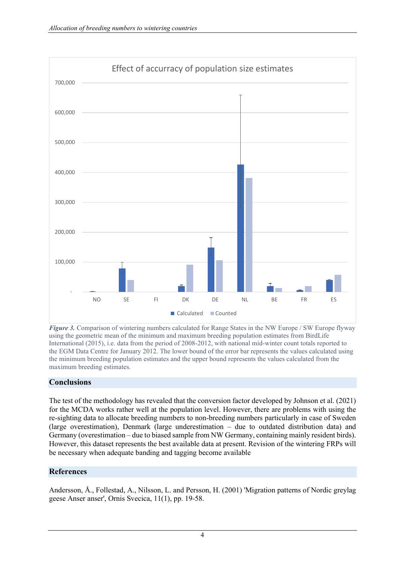

<span id="page-3-0"></span>*Figure 3.* Comparison of wintering numbers calculated for Range States in the NW Europe / SW Europe flyway using the geometric mean of the minimum and maximum breeding population estimates from BirdLife International (2015), i.e. data from the period of 2008-2012, with national mid-winter count totals reported to the EGM Data Centre for January 2012. The lower bound of the error bar represents the values calculated using the minimum breeding population estimates and the upper bound represents the values calculated from the maximum breeding estimates.

## **Conclusions**

The test of the methodology has revealed that the conversion factor developed by Johnson et al. (2021) for the MCDA works rather well at the population level. However, there are problems with using the re-sighting data to allocate breeding numbers to non-breeding numbers particularly in case of Sweden (large overestimation), Denmark (large underestimation – due to outdated distribution data) and Germany (overestimation – due to biased sample from NW Germany, containing mainly resident birds). However, this dataset represents the best available data at present. Revision of the wintering FRPs will be necessary when adequate banding and tagging become available

# **References**

Andersson, Å., Follestad, A., Nilsson, L. and Persson, H. (2001) 'Migration patterns of Nordic greylag geese Anser anser', Ornis Svecica, 11(1), pp. 19-58.